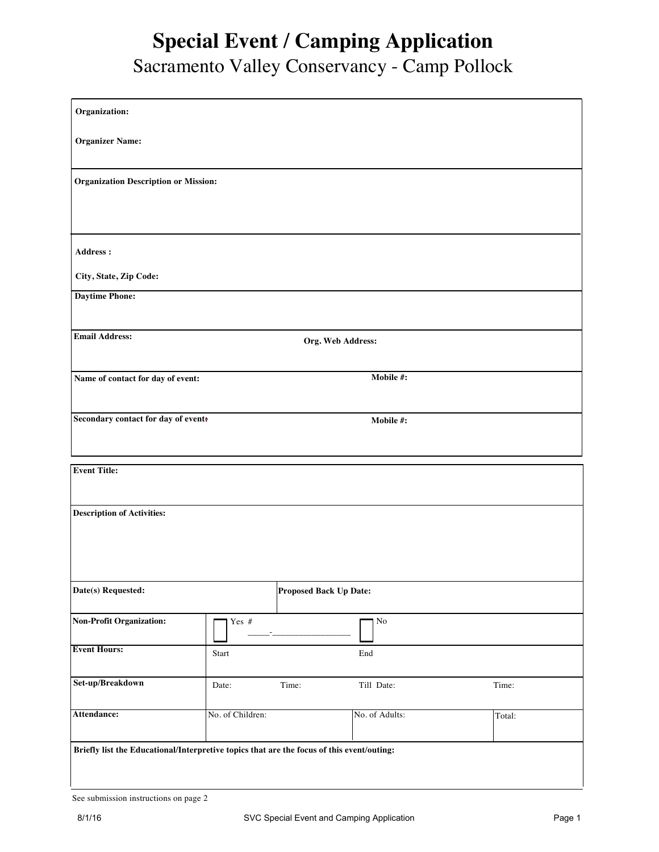## **Special Event / Camping Application**

## Sacramento Valley Conservancy - Camp Pollock

| Organization:                                                                             |                  |                        |                      |        |
|-------------------------------------------------------------------------------------------|------------------|------------------------|----------------------|--------|
| <b>Organizer Name:</b>                                                                    |                  |                        |                      |        |
| <b>Organization Description or Mission:</b>                                               |                  |                        |                      |        |
|                                                                                           |                  |                        |                      |        |
| Address:                                                                                  |                  |                        |                      |        |
| City, State, Zip Code:                                                                    |                  |                        |                      |        |
| <b>Daytime Phone:</b>                                                                     |                  |                        |                      |        |
| <b>Email Address:</b><br>Org. Web Address:                                                |                  |                        |                      |        |
|                                                                                           |                  |                        |                      |        |
| Mobile #:<br>Name of contact for day of event:                                            |                  |                        |                      |        |
| Secondary contact for day of event:<br>Mobile #:                                          |                  |                        |                      |        |
|                                                                                           |                  |                        |                      |        |
| <b>Event Title:</b>                                                                       |                  |                        |                      |        |
|                                                                                           |                  |                        |                      |        |
| <b>Description of Activities:</b>                                                         |                  |                        |                      |        |
|                                                                                           |                  |                        |                      |        |
|                                                                                           |                  |                        |                      |        |
| Date(s) Requested:                                                                        |                  | Proposed Back Up Date: |                      |        |
| <b>Non-Profit Organization:</b>                                                           | Yes #            |                        | $\rm No$             |        |
| <b>Event Hours:</b>                                                                       | Start            |                        | $\operatorname{End}$ |        |
| Set-up/Breakdown                                                                          | Date:            | Time:                  | Till Date:           | Time:  |
| Attendance:                                                                               | No. of Children: |                        | No. of Adults:       | Total: |
| Briefly list the Educational/Interpretive topics that are the focus of this event/outing: |                  |                        |                      |        |
|                                                                                           |                  |                        |                      |        |

See submission instructions on page 2